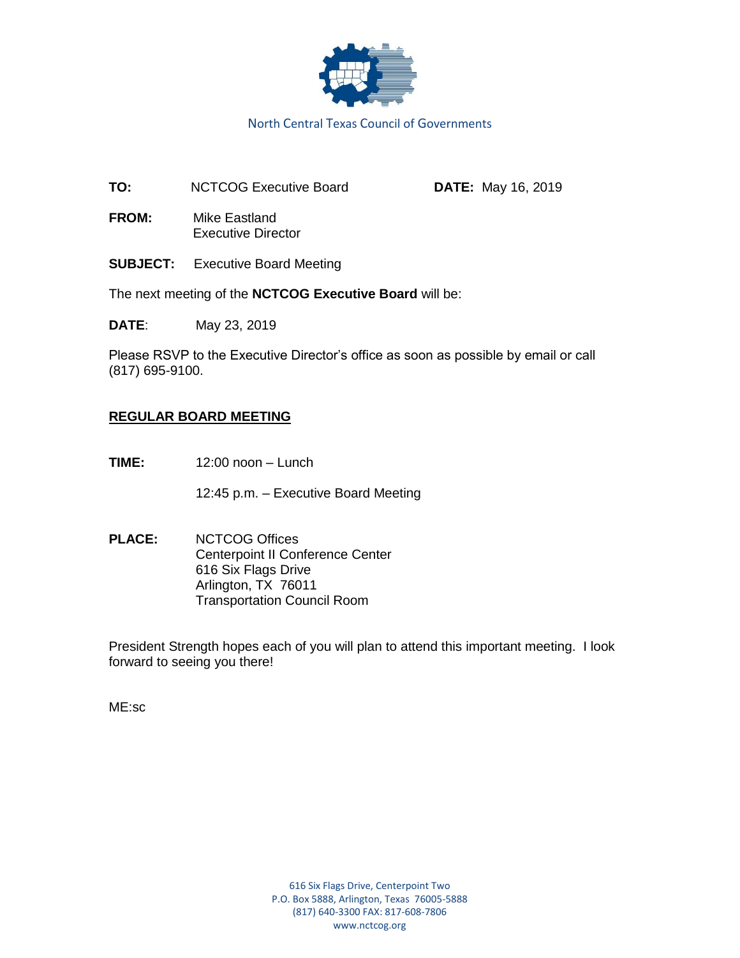

North Central Texas Council of Governments

**TO:** NCTCOG Executive Board **DATE:** May 16, 2019

**FROM:** Mike Eastland Executive Director

**SUBJECT:** Executive Board Meeting

The next meeting of the **NCTCOG Executive Board** will be:

**DATE**: May 23, 2019

Please RSVP to the Executive Director's office as soon as possible by email or call (817) 695-9100.

# **REGULAR BOARD MEETING**

**TIME:** 12:00 noon – Lunch

12:45 p.m. – Executive Board Meeting

**PLACE:** NCTCOG Offices Centerpoint II Conference Center 616 Six Flags Drive Arlington, TX 76011 Transportation Council Room

President Strength hopes each of you will plan to attend this important meeting. I look forward to seeing you there!

ME:sc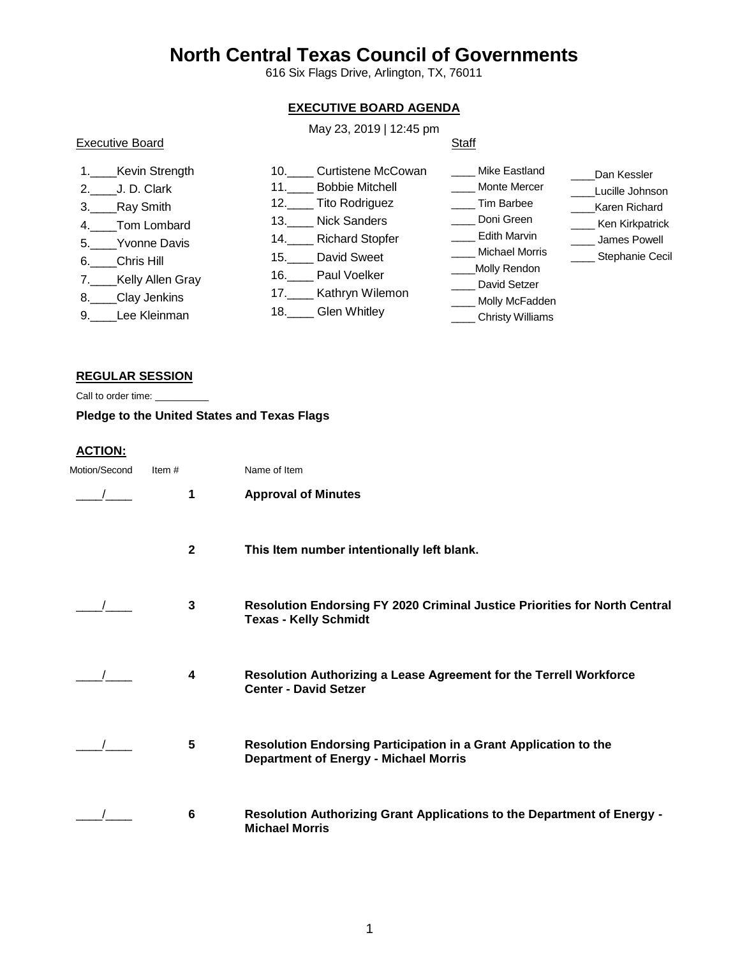# **North Central Texas Council of Governments**

616 Six Flags Drive, Arlington, TX, 76011

# **EXECUTIVE BOARD AGENDA**

## May 23, 2019 | 12:45 pm

# Executive Board

# **Staff**

| 1. Kevin Strength<br>2. J.D. Clark<br>3. Ray Smith<br>4. Tom Lombard<br>5. Yvonne Davis<br>6. Chris Hill<br>7. Kelly Allen Gray<br>8. Clay Jenkins<br>9. Lee Kleinman | <b>Curtistene McCowan</b><br>10.<br><b>Bobbie Mitchell</b><br>11.<br>12. Tito Rodriguez<br><b>Nick Sanders</b><br><b>Richard Stopfer</b><br>David Sweet<br>15.<br>Paul Voelker<br>Kathryn Wilemon<br>17.<br>18. Glen Whitley | Mike Eastland<br>Monte Mercer<br>Tim Barbee<br>Doni Green<br><b>Edith Marvin</b><br>Michael Morris<br>Molly Rendon<br>David Setzer<br>__ Molly McFadden<br><b>Christy Williams</b> | Dan Kessler<br>Lucille Johnson<br>Karen Richard<br>Ken Kirkpatrick<br>James Powell<br>Stephanie Cecil |
|-----------------------------------------------------------------------------------------------------------------------------------------------------------------------|------------------------------------------------------------------------------------------------------------------------------------------------------------------------------------------------------------------------------|------------------------------------------------------------------------------------------------------------------------------------------------------------------------------------|-------------------------------------------------------------------------------------------------------|
|-----------------------------------------------------------------------------------------------------------------------------------------------------------------------|------------------------------------------------------------------------------------------------------------------------------------------------------------------------------------------------------------------------------|------------------------------------------------------------------------------------------------------------------------------------------------------------------------------------|-------------------------------------------------------------------------------------------------------|

#### **REGULAR SESSION**

Call to order time: \_\_\_\_\_\_\_\_\_\_

**Pledge to the United States and Texas Flags**

#### **ACTION:**

| Motion/Second | Item $#$     | Name of Item                                                                                                      |
|---------------|--------------|-------------------------------------------------------------------------------------------------------------------|
|               |              | <b>Approval of Minutes</b>                                                                                        |
|               | $\mathbf{2}$ | This Item number intentionally left blank.                                                                        |
|               | $\mathbf{3}$ | <b>Resolution Endorsing FY 2020 Criminal Justice Priorities for North Central</b><br><b>Texas - Kelly Schmidt</b> |
|               | 4            | Resolution Authorizing a Lease Agreement for the Terrell Workforce<br><b>Center - David Setzer</b>                |
|               | 5            | Resolution Endorsing Participation in a Grant Application to the<br><b>Department of Energy - Michael Morris</b>  |
|               | 6            | Resolution Authorizing Grant Applications to the Department of Energy -<br><b>Michael Morris</b>                  |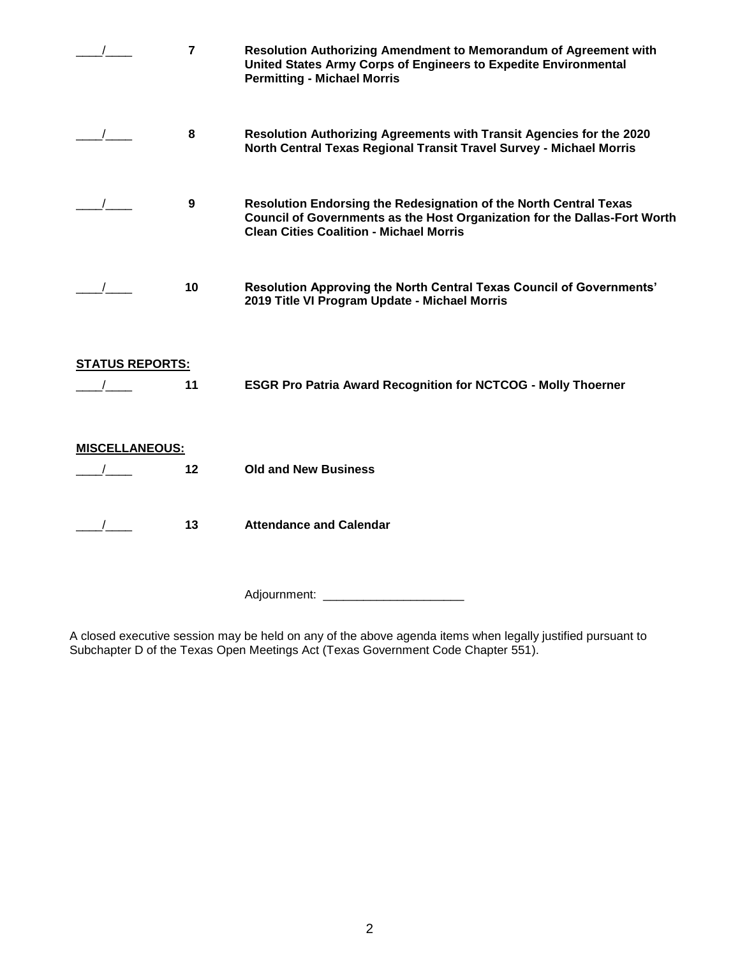|                        | $\overline{7}$ | Resolution Authorizing Amendment to Memorandum of Agreement with<br>United States Army Corps of Engineers to Expedite Environmental<br><b>Permitting - Michael Morris</b>                        |
|------------------------|----------------|--------------------------------------------------------------------------------------------------------------------------------------------------------------------------------------------------|
|                        | 8              | Resolution Authorizing Agreements with Transit Agencies for the 2020<br>North Central Texas Regional Transit Travel Survey - Michael Morris                                                      |
|                        | 9              | Resolution Endorsing the Redesignation of the North Central Texas<br>Council of Governments as the Host Organization for the Dallas-Fort Worth<br><b>Clean Cities Coalition - Michael Morris</b> |
|                        | 10             | Resolution Approving the North Central Texas Council of Governments'<br>2019 Title VI Program Update - Michael Morris                                                                            |
| <b>STATUS REPORTS:</b> | 11             | <b>ESGR Pro Patria Award Recognition for NCTCOG - Molly Thoerner</b>                                                                                                                             |
| <b>MISCELLANEOUS:</b>  | 12             | <b>Old and New Business</b>                                                                                                                                                                      |
|                        | 13             | <b>Attendance and Calendar</b>                                                                                                                                                                   |
|                        |                | Adjournment: ____________________                                                                                                                                                                |

A closed executive session may be held on any of the above agenda items when legally justified pursuant to Subchapter D of the Texas Open Meetings Act (Texas Government Code Chapter 551).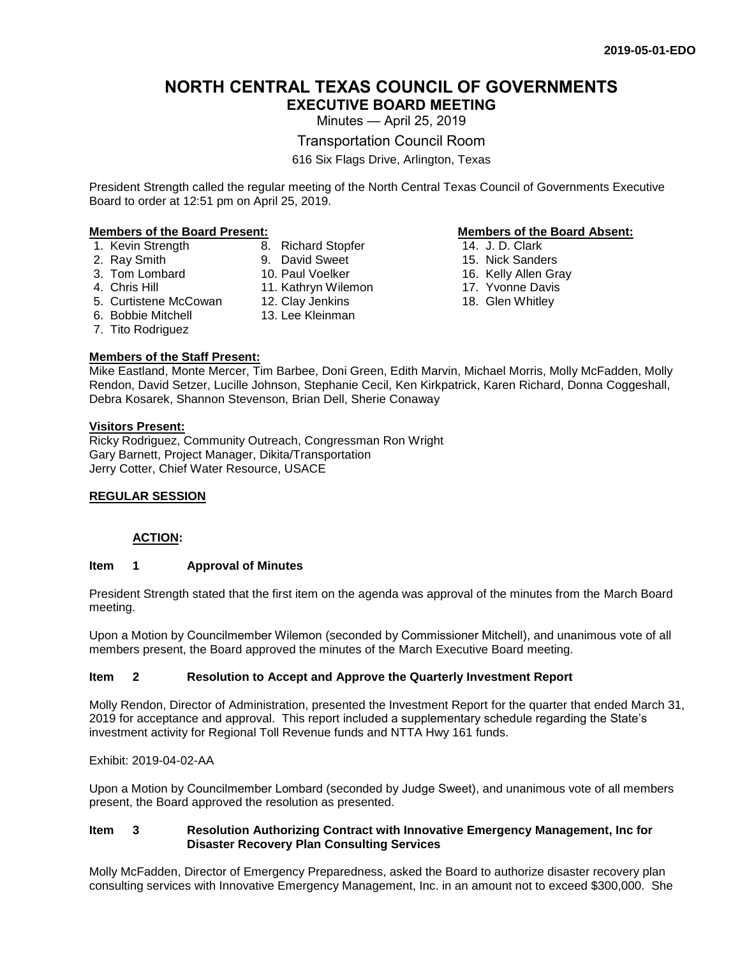# **NORTH CENTRAL TEXAS COUNCIL OF GOVERNMENTS EXECUTIVE BOARD MEETING**

Minutes — April 25, 2019

Transportation Council Room

616 Six Flags Drive, Arlington, Texas

President Strength called the regular meeting of the North Central Texas Council of Governments Executive Board to order at 12:51 pm on April 25, 2019.

#### **Members of the Board Present: Members of the Board Absent:**

- 1. Kevin Strength 8. Richard Stopfer
- 2. Ray Smith
- 3. Tom Lombard
- 4. Chris Hill
- 5. Curtistene McCowan
- 6. Bobbie Mitchell
- 7. Tito Rodriguez

#### **Members of the Staff Present:**

- 14. J. D. Clark
- 15. Nick Sanders
- 16. Kelly Allen Gray
- 17. Yvonne Davis
- 18. Glen Whitley

Mike Eastland, Monte Mercer, Tim Barbee, Doni Green, Edith Marvin, Michael Morris, Molly McFadden, Molly Rendon, David Setzer, Lucille Johnson, Stephanie Cecil, Ken Kirkpatrick, Karen Richard, Donna Coggeshall, Debra Kosarek, Shannon Stevenson, Brian Dell, Sherie Conaway

#### **Visitors Present:**

Ricky Rodriguez, Community Outreach, Congressman Ron Wright Gary Barnett, Project Manager, Dikita/Transportation Jerry Cotter, Chief Water Resource, USACE

9. David Sweet 10. Paul Voelker 11. Kathryn Wilemon 12. Clay Jenkins 13. Lee Kleinman

#### **REGULAR SESSION**

#### **ACTION:**

#### **Item 1 Approval of Minutes**

President Strength stated that the first item on the agenda was approval of the minutes from the March Board meeting.

Upon a Motion by Councilmember Wilemon (seconded by Commissioner Mitchell), and unanimous vote of all members present, the Board approved the minutes of the March Executive Board meeting.

#### **Item 2 Resolution to Accept and Approve the Quarterly Investment Report**

Molly Rendon, Director of Administration, presented the Investment Report for the quarter that ended March 31, 2019 for acceptance and approval. This report included a supplementary schedule regarding the State's investment activity for Regional Toll Revenue funds and NTTA Hwy 161 funds.

Exhibit: 2019-04-02-AA

Upon a Motion by Councilmember Lombard (seconded by Judge Sweet), and unanimous vote of all members present, the Board approved the resolution as presented.

#### **Item 3 Resolution Authorizing Contract with Innovative Emergency Management, Inc for Disaster Recovery Plan Consulting Services**

Molly McFadden, Director of Emergency Preparedness, asked the Board to authorize disaster recovery plan consulting services with Innovative Emergency Management, Inc. in an amount not to exceed \$300,000. She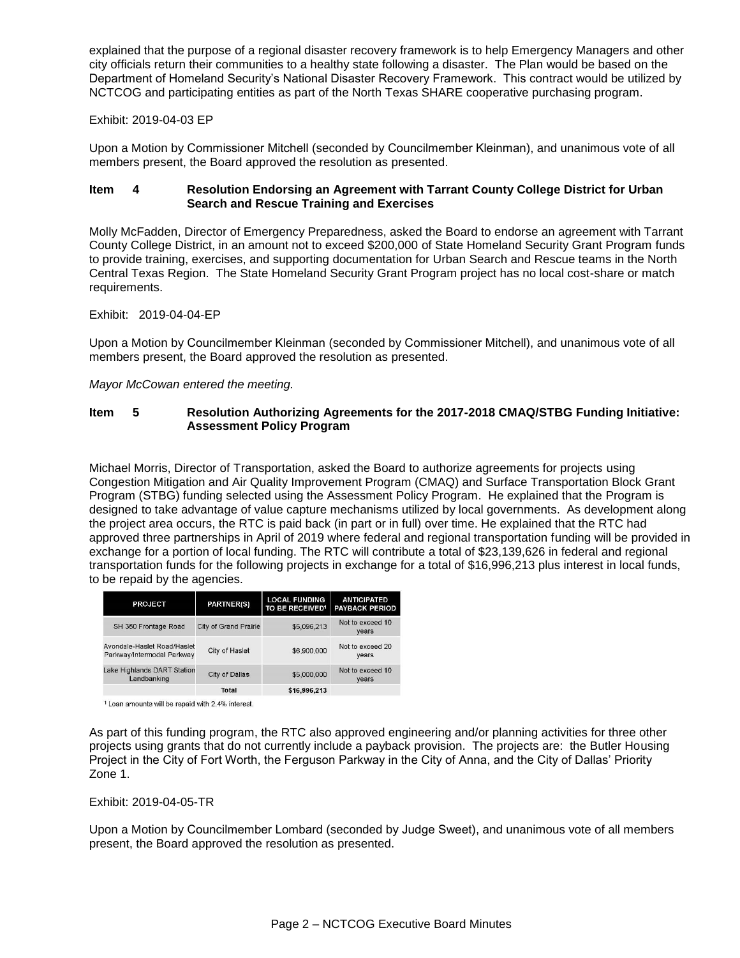explained that the purpose of a regional disaster recovery framework is to help Emergency Managers and other city officials return their communities to a healthy state following a disaster. The Plan would be based on the Department of Homeland Security's National Disaster Recovery Framework. This contract would be utilized by NCTCOG and participating entities as part of the North Texas SHARE cooperative purchasing program.

#### Exhibit: 2019-04-03 EP

Upon a Motion by Commissioner Mitchell (seconded by Councilmember Kleinman), and unanimous vote of all members present, the Board approved the resolution as presented.

#### **Item 4 Resolution Endorsing an Agreement with Tarrant County College District for Urban Search and Rescue Training and Exercises**

Molly McFadden, Director of Emergency Preparedness, asked the Board to endorse an agreement with Tarrant County College District, in an amount not to exceed \$200,000 of State Homeland Security Grant Program funds to provide training, exercises, and supporting documentation for Urban Search and Rescue teams in the North Central Texas Region. The State Homeland Security Grant Program project has no local cost-share or match requirements.

#### Exhibit: 2019-04-04-EP

Upon a Motion by Councilmember Kleinman (seconded by Commissioner Mitchell), and unanimous vote of all members present, the Board approved the resolution as presented.

#### *Mayor McCowan entered the meeting.*

#### **Item 5 Resolution Authorizing Agreements for the 2017-2018 CMAQ/STBG Funding Initiative: Assessment Policy Program**

Michael Morris, Director of Transportation, asked the Board to authorize agreements for projects using Congestion Mitigation and Air Quality Improvement Program (CMAQ) and Surface Transportation Block Grant Program (STBG) funding selected using the Assessment Policy Program. He explained that the Program is designed to take advantage of value capture mechanisms utilized by local governments. As development along the project area occurs, the RTC is paid back (in part or in full) over time. He explained that the RTC had approved three partnerships in April of 2019 where federal and regional transportation funding will be provided in exchange for a portion of local funding. The RTC will contribute a total of \$23,139,626 in federal and regional transportation funds for the following projects in exchange for a total of \$16,996,213 plus interest in local funds, to be repaid by the agencies.

| <b>PROJECT</b>                                            | <b>PARTNER(S)</b>     | <b>LOCAL FUNDING</b><br>TO BE RECEIVED <sup>1</sup> | <b>ANTICIPATED</b><br><b>PAYBACK PERIOD</b> |
|-----------------------------------------------------------|-----------------------|-----------------------------------------------------|---------------------------------------------|
| SH 360 Frontage Road                                      | City of Grand Prairie | \$5,096,213                                         | Not to exceed 10<br>years                   |
| Avondale-Haslet Road/Haslet<br>Parkway/Intermodal Parkway | City of Haslet        | \$6,900,000                                         | Not to exceed 20<br>years                   |
| Lake Highlands DART Station<br>Landbanking                | City of Dallas        | \$5,000,000                                         | Not to exceed 10<br>years                   |
|                                                           | <b>Total</b>          | \$16,996,213                                        |                                             |

<sup>1</sup> Loan amounts will be repaid with 2.4% interest.

As part of this funding program, the RTC also approved engineering and/or planning activities for three other projects using grants that do not currently include a payback provision. The projects are: the Butler Housing Project in the City of Fort Worth, the Ferguson Parkway in the City of Anna, and the City of Dallas' Priority Zone 1.

#### Exhibit: 2019-04-05-TR

Upon a Motion by Councilmember Lombard (seconded by Judge Sweet), and unanimous vote of all members present, the Board approved the resolution as presented.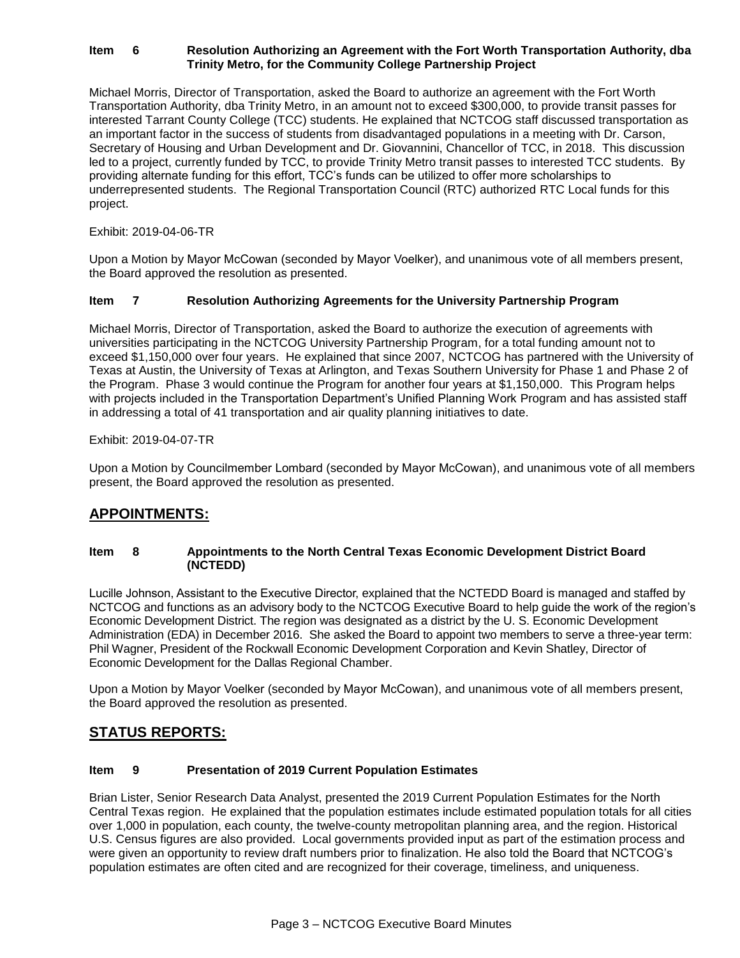#### **Item 6 Resolution Authorizing an Agreement with the Fort Worth Transportation Authority, dba Trinity Metro, for the Community College Partnership Project**

Michael Morris, Director of Transportation, asked the Board to authorize an agreement with the Fort Worth Transportation Authority, dba Trinity Metro, in an amount not to exceed \$300,000, to provide transit passes for interested Tarrant County College (TCC) students. He explained that NCTCOG staff discussed transportation as an important factor in the success of students from disadvantaged populations in a meeting with Dr. Carson, Secretary of Housing and Urban Development and Dr. Giovannini, Chancellor of TCC, in 2018. This discussion led to a project, currently funded by TCC, to provide Trinity Metro transit passes to interested TCC students. By providing alternate funding for this effort, TCC's funds can be utilized to offer more scholarships to underrepresented students. The Regional Transportation Council (RTC) authorized RTC Local funds for this project.

Exhibit: 2019-04-06-TR

Upon a Motion by Mayor McCowan (seconded by Mayor Voelker), and unanimous vote of all members present, the Board approved the resolution as presented.

#### **Item 7 Resolution Authorizing Agreements for the University Partnership Program**

Michael Morris, Director of Transportation, asked the Board to authorize the execution of agreements with universities participating in the NCTCOG University Partnership Program, for a total funding amount not to exceed \$1,150,000 over four years. He explained that since 2007, NCTCOG has partnered with the University of Texas at Austin, the University of Texas at Arlington, and Texas Southern University for Phase 1 and Phase 2 of the Program. Phase 3 would continue the Program for another four years at \$1,150,000. This Program helps with projects included in the Transportation Department's Unified Planning Work Program and has assisted staff in addressing a total of 41 transportation and air quality planning initiatives to date.

#### Exhibit: 2019-04-07-TR

Upon a Motion by Councilmember Lombard (seconded by Mayor McCowan), and unanimous vote of all members present, the Board approved the resolution as presented.

# **APPOINTMENTS:**

#### **Item 8 Appointments to the North Central Texas Economic Development District Board (NCTEDD)**

Lucille Johnson, Assistant to the Executive Director, explained that the NCTEDD Board is managed and staffed by NCTCOG and functions as an advisory body to the NCTCOG Executive Board to help guide the work of the region's Economic Development District. The region was designated as a district by the U. S. Economic Development Administration (EDA) in December 2016. She asked the Board to appoint two members to serve a three-year term: Phil Wagner, President of the Rockwall Economic Development Corporation and Kevin Shatley, Director of Economic Development for the Dallas Regional Chamber.

Upon a Motion by Mayor Voelker (seconded by Mayor McCowan), and unanimous vote of all members present, the Board approved the resolution as presented.

### **STATUS REPORTS:**

#### **Item 9 Presentation of 2019 Current Population Estimates**

Brian Lister, Senior Research Data Analyst, presented the 2019 Current Population Estimates for the North Central Texas region. He explained that the population estimates include estimated population totals for all cities over 1,000 in population, each county, the twelve-county metropolitan planning area, and the region. Historical U.S. Census figures are also provided. Local governments provided input as part of the estimation process and were given an opportunity to review draft numbers prior to finalization. He also told the Board that NCTCOG's population estimates are often cited and are recognized for their coverage, timeliness, and uniqueness.